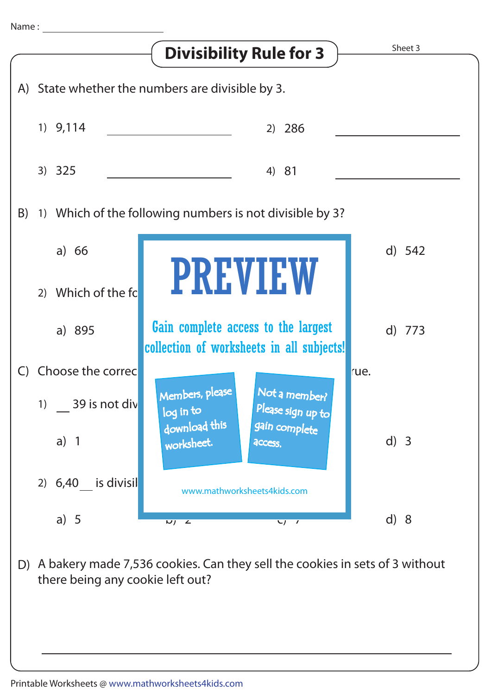

A bakery made 7,536 cookies. Can they sell the cookies in sets of 3 without D) there being any cookie left out?